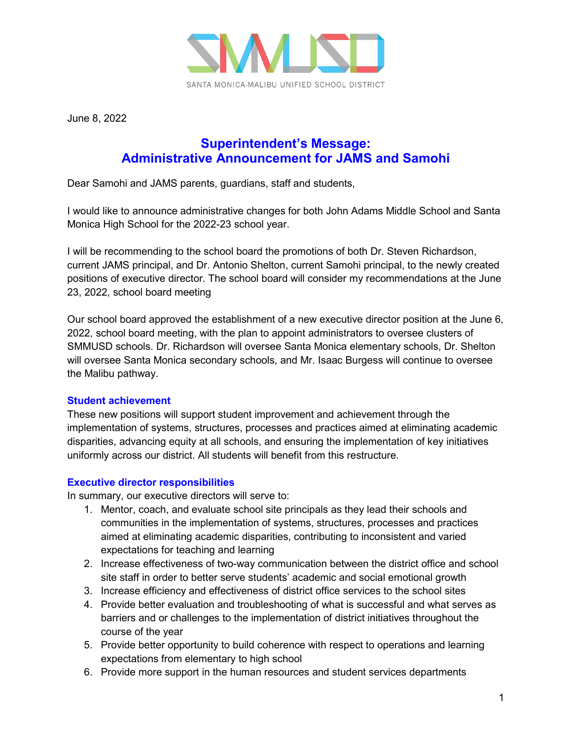

June 8, 2022

## **Superintendent's Message: Administrative Announcement for JAMS and Samohi**

Dear Samohi and JAMS parents, guardians, staff and students,

I would like to announce administrative changes for both John Adams Middle School and Santa Monica High School for the 2022-23 school year.

I will be recommending to the school board the promotions of both Dr. Steven Richardson, current JAMS principal, and Dr. Antonio Shelton, current Samohi principal, to the newly created positions of executive director. The school board will consider my recommendations at the June 23, 2022, school board meeting

Our school board approved the establishment of a new executive director position at the June 6, 2022, school board meeting, with the plan to appoint administrators to oversee clusters of SMMUSD schools. Dr. Richardson will oversee Santa Monica elementary schools, Dr. Shelton will oversee Santa Monica secondary schools, and Mr. Isaac Burgess will continue to oversee the Malibu pathway.

## **Student achievement**

These new positions will support student improvement and achievement through the implementation of systems, structures, processes and practices aimed at eliminating academic disparities, advancing equity at all schools, and ensuring the implementation of key initiatives uniformly across our district. All students will benefit from this restructure.

## **Executive director responsibilities**

In summary, our executive directors will serve to:

- 1. Mentor, coach, and evaluate school site principals as they lead their schools and communities in the implementation of systems, structures, processes and practices aimed at eliminating academic disparities, contributing to inconsistent and varied expectations for teaching and learning
- 2. Increase effectiveness of two-way communication between the district office and school site staff in order to better serve students' academic and social emotional growth
- 3. Increase efficiency and effectiveness of district office services to the school sites
- 4. Provide better evaluation and troubleshooting of what is successful and what serves as barriers and or challenges to the implementation of district initiatives throughout the course of the year
- 5. Provide better opportunity to build coherence with respect to operations and learning expectations from elementary to high school
- 6. Provide more support in the human resources and student services departments